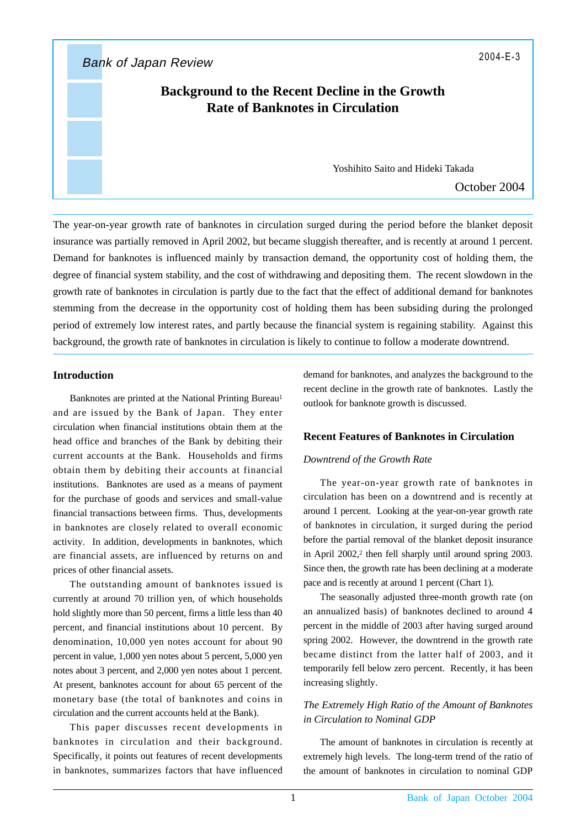Bank of Japan Review 2004-E-3

# **Background to the Recent Decline in the Growth Rate of Banknotes in Circulation**

Yoshihito Saito and Hideki Takada

October 2004

The year-on-year growth rate of banknotes in circulation surged during the period before the blanket deposit insurance was partially removed in April 2002, but became sluggish thereafter, and is recently at around 1 percent. Demand for banknotes is influenced mainly by transaction demand, the opportunity cost of holding them, the degree of financial system stability, and the cost of withdrawing and depositing them. The recent slowdown in the growth rate of banknotes in circulation is partly due to the fact that the effect of additional demand for banknotes stemming from the decrease in the opportunity cost of holding them has been subsiding during the prolonged period of extremely low interest rates, and partly because the financial system is regaining stability. Against this background, the growth rate of banknotes in circulation is likely to continue to follow a moderate downtrend.

### **Introduction**

Banknotes are printed at the National Printing Bureau<sup>1</sup> and are issued by the Bank of Japan. They enter circulation when financial institutions obtain them at the head office and branches of the Bank by debiting their current accounts at the Bank. Households and firms obtain them by debiting their accounts at financial institutions. Banknotes are used as a means of payment for the purchase of goods and services and small-value financial transactions between firms. Thus, developments in banknotes are closely related to overall economic activity. In addition, developments in banknotes, which are financial assets, are influenced by returns on and prices of other financial assets.

The outstanding amount of banknotes issued is currently at around 70 trillion yen, of which households hold slightly more than 50 percent, firms a little less than 40 percent, and financial institutions about 10 percent. By denomination, 10,000 yen notes account for about 90 percent in value, 1,000 yen notes about 5 percent, 5,000 yen notes about 3 percent, and 2,000 yen notes about 1 percent. At present, banknotes account for about 65 percent of the monetary base (the total of banknotes and coins in circulation and the current accounts held at the Bank).

This paper discusses recent developments in banknotes in circulation and their background. Specifically, it points out features of recent developments in banknotes, summarizes factors that have influenced

demand for banknotes, and analyzes the background to the recent decline in the growth rate of banknotes. Lastly the outlook for banknote growth is discussed.

## **Recent Features of Banknotes in Circulation**

#### *Downtrend of the Growth Rate*

The year-on-year growth rate of banknotes in circulation has been on a downtrend and is recently at around 1 percent. Looking at the year-on-year growth rate of banknotes in circulation, it surged during the period before the partial removal of the blanket deposit insurance in April 2002,<sup>2</sup> then fell sharply until around spring 2003. Since then, the growth rate has been declining at a moderate pace and is recently at around 1 percent (Chart 1).

The seasonally adjusted three-month growth rate (on an annualized basis) of banknotes declined to around 4 percent in the middle of 2003 after having surged around spring 2002. However, the downtrend in the growth rate became distinct from the latter half of 2003, and it temporarily fell below zero percent. Recently, it has been increasing slightly.

## *The Extremely High Ratio of the Amount of Banknotes in Circulation to Nominal GDP*

The amount of banknotes in circulation is recently at extremely high levels. The long-term trend of the ratio of the amount of banknotes in circulation to nominal GDP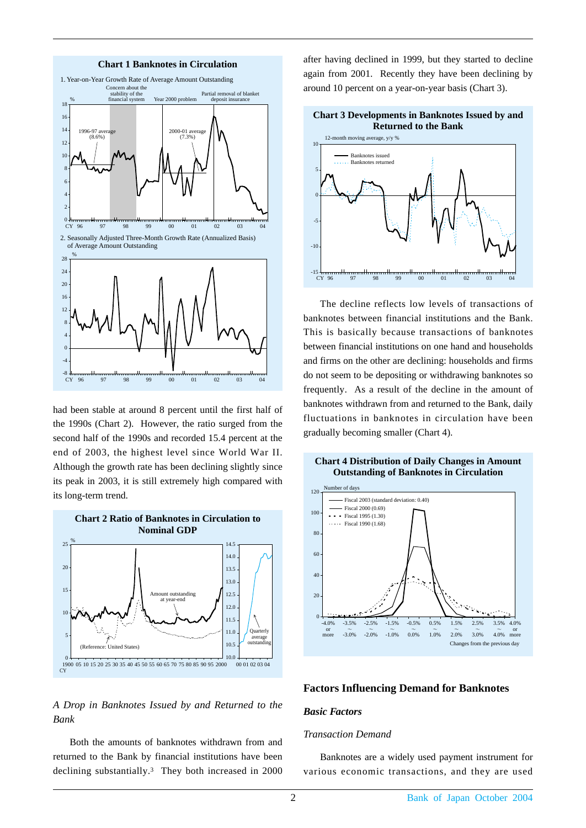

had been stable at around 8 percent until the first half of the 1990s (Chart 2). However, the ratio surged from the second half of the 1990s and recorded 15.4 percent at the end of 2003, the highest level since World War II. Although the growth rate has been declining slightly since its peak in 2003, it is still extremely high compared with its long-term trend.



## *A Drop in Banknotes Issued by and Returned to the Bank*

Both the amounts of banknotes withdrawn from and returned to the Bank by financial institutions have been declining substantially.3 They both increased in 2000 after having declined in 1999, but they started to decline again from 2001. Recently they have been declining by around 10 percent on a year-on-year basis (Chart 3).



The decline reflects low levels of transactions of banknotes between financial institutions and the Bank. This is basically because transactions of banknotes between financial institutions on one hand and households and firms on the other are declining: households and firms do not seem to be depositing or withdrawing banknotes so frequently. As a result of the decline in the amount of banknotes withdrawn from and returned to the Bank, daily fluctuations in banknotes in circulation have been gradually becoming smaller (Chart 4).

#### **Chart 4 Distribution of Daily Changes in Amount Outstanding of Banknotes in Circulation**



### **Factors Influencing Demand for Banknotes**

### *Basic Factors*

#### *Transaction Demand*

Banknotes are a widely used payment instrument for various economic transactions, and they are used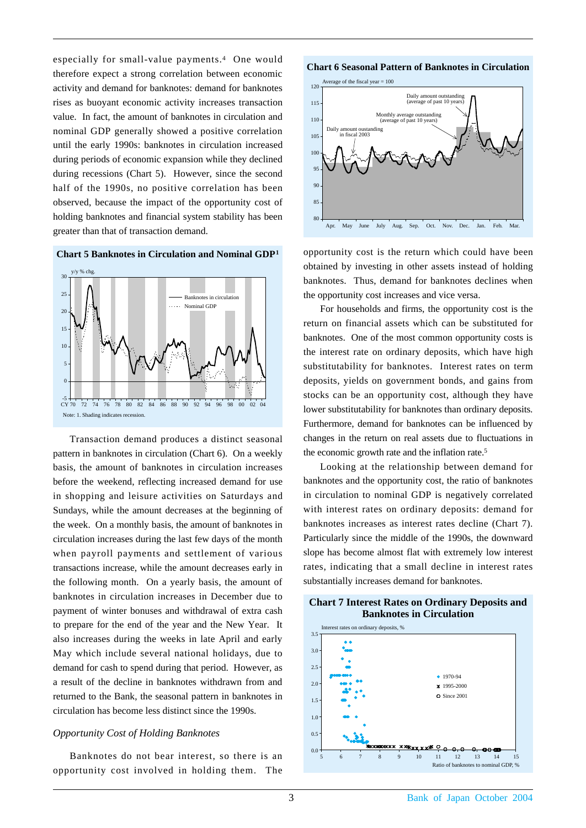especially for small-value payments.4 One would therefore expect a strong correlation between economic activity and demand for banknotes: demand for banknotes rises as buoyant economic activity increases transaction value. In fact, the amount of banknotes in circulation and nominal GDP generally showed a positive correlation until the early 1990s: banknotes in circulation increased during periods of economic expansion while they declined during recessions (Chart 5). However, since the second half of the 1990s, no positive correlation has been observed, because the impact of the opportunity cost of holding banknotes and financial system stability has been greater than that of transaction demand.





Transaction demand produces a distinct seasonal pattern in banknotes in circulation (Chart 6). On a weekly basis, the amount of banknotes in circulation increases before the weekend, reflecting increased demand for use in shopping and leisure activities on Saturdays and Sundays, while the amount decreases at the beginning of the week. On a monthly basis, the amount of banknotes in circulation increases during the last few days of the month when payroll payments and settlement of various transactions increase, while the amount decreases early in the following month. On a yearly basis, the amount of banknotes in circulation increases in December due to payment of winter bonuses and withdrawal of extra cash to prepare for the end of the year and the New Year. It also increases during the weeks in late April and early May which include several national holidays, due to demand for cash to spend during that period. However, as a result of the decline in banknotes withdrawn from and returned to the Bank, the seasonal pattern in banknotes in circulation has become less distinct since the 1990s.

### *Opportunity Cost of Holding Banknotes*

Banknotes do not bear interest, so there is an opportunity cost involved in holding them. The

#### **Chart 6 Seasonal Pattern of Banknotes in Circulation**



opportunity cost is the return which could have been obtained by investing in other assets instead of holding banknotes. Thus, demand for banknotes declines when the opportunity cost increases and vice versa.

For households and firms, the opportunity cost is the return on financial assets which can be substituted for banknotes. One of the most common opportunity costs is the interest rate on ordinary deposits, which have high substitutability for banknotes. Interest rates on term deposits, yields on government bonds, and gains from stocks can be an opportunity cost, although they have lower substitutability for banknotes than ordinary deposits. Furthermore, demand for banknotes can be influenced by changes in the return on real assets due to fluctuations in the economic growth rate and the inflation rate.5

Looking at the relationship between demand for banknotes and the opportunity cost, the ratio of banknotes in circulation to nominal GDP is negatively correlated with interest rates on ordinary deposits: demand for banknotes increases as interest rates decline (Chart 7). Particularly since the middle of the 1990s, the downward slope has become almost flat with extremely low interest rates, indicating that a small decline in interest rates substantially increases demand for banknotes.



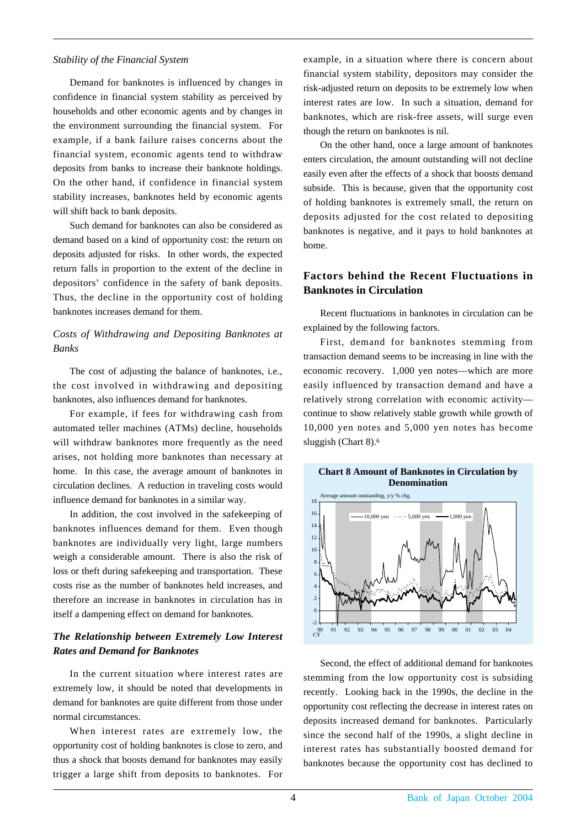### *Stability of the Financial System*

Demand for banknotes is influenced by changes in confidence in financial system stability as perceived by households and other economic agents and by changes in the environment surrounding the financial system. For example, if a bank failure raises concerns about the financial system, economic agents tend to withdraw deposits from banks to increase their banknote holdings. On the other hand, if confidence in financial system stability increases, banknotes held by economic agents will shift back to bank deposits.

Such demand for banknotes can also be considered as demand based on a kind of opportunity cost: the return on deposits adjusted for risks. In other words, the expected return falls in proportion to the extent of the decline in depositors' confidence in the safety of bank deposits. Thus, the decline in the opportunity cost of holding banknotes increases demand for them.

## *Costs of Withdrawing and Depositing Banknotes at Banks*

The cost of adjusting the balance of banknotes, i.e., the cost involved in withdrawing and depositing banknotes, also influences demand for banknotes.

For example, if fees for withdrawing cash from automated teller machines (ATMs) decline, households will withdraw banknotes more frequently as the need arises, not holding more banknotes than necessary at home. In this case, the average amount of banknotes in circulation declines. A reduction in traveling costs would influence demand for banknotes in a similar way.

In addition, the cost involved in the safekeeping of banknotes influences demand for them. Even though banknotes are individually very light, large numbers weigh a considerable amount. There is also the risk of loss or theft during safekeeping and transportation. These costs rise as the number of banknotes held increases, and therefore an increase in banknotes in circulation has in itself a dampening effect on demand for banknotes.

## *The Relationship between Extremely Low Interest Rates and Demand for Banknotes*

In the current situation where interest rates are extremely low, it should be noted that developments in demand for banknotes are quite different from those under normal circumstances.

When interest rates are extremely low, the opportunity cost of holding banknotes is close to zero, and thus a shock that boosts demand for banknotes may easily trigger a large shift from deposits to banknotes. For example, in a situation where there is concern about financial system stability, depositors may consider the risk-adjusted return on deposits to be extremely low when interest rates are low. In such a situation, demand for banknotes, which are risk-free assets, will surge even though the return on banknotes is nil.

On the other hand, once a large amount of banknotes enters circulation, the amount outstanding will not decline easily even after the effects of a shock that boosts demand subside. This is because, given that the opportunity cost of holding banknotes is extremely small, the return on deposits adjusted for the cost related to depositing banknotes is negative, and it pays to hold banknotes at home.

## **Factors behind the Recent Fluctuations in Banknotes in Circulation**

Recent fluctuations in banknotes in circulation can be explained by the following factors.

First, demand for banknotes stemming from transaction demand seems to be increasing in line with the economic recovery. 1,000 yen notes—which are more easily influenced by transaction demand and have a relatively strong correlation with economic activity continue to show relatively stable growth while growth of 10,000 yen notes and 5,000 yen notes has become sluggish (Chart 8).6



Second, the effect of additional demand for banknotes stemming from the low opportunity cost is subsiding recently. Looking back in the 1990s, the decline in the opportunity cost reflecting the decrease in interest rates on deposits increased demand for banknotes. Particularly since the second half of the 1990s, a slight decline in interest rates has substantially boosted demand for banknotes because the opportunity cost has declined to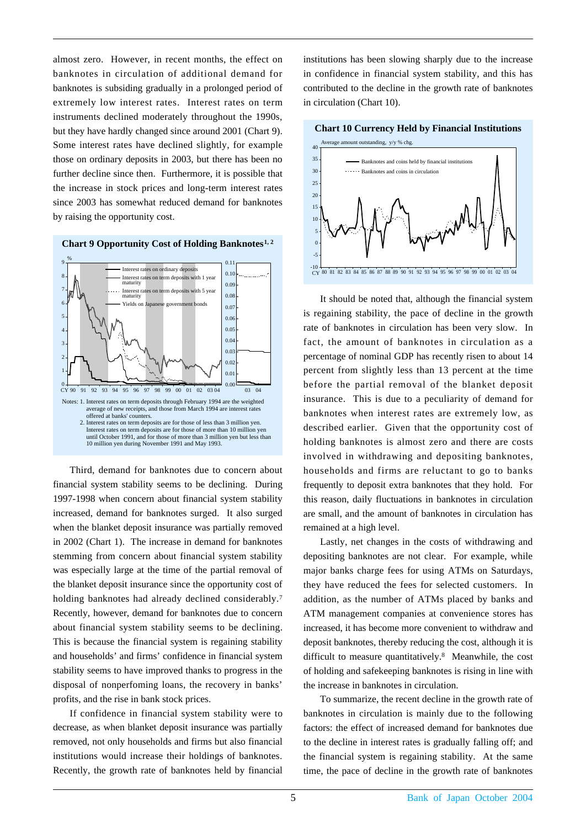almost zero. However, in recent months, the effect on banknotes in circulation of additional demand for banknotes is subsiding gradually in a prolonged period of extremely low interest rates. Interest rates on term instruments declined moderately throughout the 1990s, but they have hardly changed since around 2001 (Chart 9). Some interest rates have declined slightly, for example those on ordinary deposits in 2003, but there has been no further decline since then. Furthermore, it is possible that the increase in stock prices and long-term interest rates since 2003 has somewhat reduced demand for banknotes by raising the opportunity cost.



Third, demand for banknotes due to concern about financial system stability seems to be declining. During 1997-1998 when concern about financial system stability increased, demand for banknotes surged. It also surged when the blanket deposit insurance was partially removed in 2002 (Chart 1). The increase in demand for banknotes stemming from concern about financial system stability was especially large at the time of the partial removal of the blanket deposit insurance since the opportunity cost of holding banknotes had already declined considerably.<sup>7</sup> Recently, however, demand for banknotes due to concern about financial system stability seems to be declining. This is because the financial system is regaining stability and households' and firms' confidence in financial system stability seems to have improved thanks to progress in the disposal of nonperfoming loans, the recovery in banks' profits, and the rise in bank stock prices.

If confidence in financial system stability were to decrease, as when blanket deposit insurance was partially removed, not only households and firms but also financial institutions would increase their holdings of banknotes. Recently, the growth rate of banknotes held by financial

institutions has been slowing sharply due to the increase in confidence in financial system stability, and this has contributed to the decline in the growth rate of banknotes in circulation (Chart 10).



It should be noted that, although the financial system is regaining stability, the pace of decline in the growth rate of banknotes in circulation has been very slow. In fact, the amount of banknotes in circulation as a percentage of nominal GDP has recently risen to about 14 percent from slightly less than 13 percent at the time before the partial removal of the blanket deposit insurance. This is due to a peculiarity of demand for banknotes when interest rates are extremely low, as described earlier. Given that the opportunity cost of holding banknotes is almost zero and there are costs involved in withdrawing and depositing banknotes, households and firms are reluctant to go to banks frequently to deposit extra banknotes that they hold. For this reason, daily fluctuations in banknotes in circulation are small, and the amount of banknotes in circulation has remained at a high level.

Lastly, net changes in the costs of withdrawing and depositing banknotes are not clear. For example, while major banks charge fees for using ATMs on Saturdays, they have reduced the fees for selected customers. In addition, as the number of ATMs placed by banks and ATM management companies at convenience stores has increased, it has become more convenient to withdraw and deposit banknotes, thereby reducing the cost, although it is difficult to measure quantitatively.8 Meanwhile, the cost of holding and safekeeping banknotes is rising in line with the increase in banknotes in circulation.

To summarize, the recent decline in the growth rate of banknotes in circulation is mainly due to the following factors: the effect of increased demand for banknotes due to the decline in interest rates is gradually falling off; and the financial system is regaining stability. At the same time, the pace of decline in the growth rate of banknotes